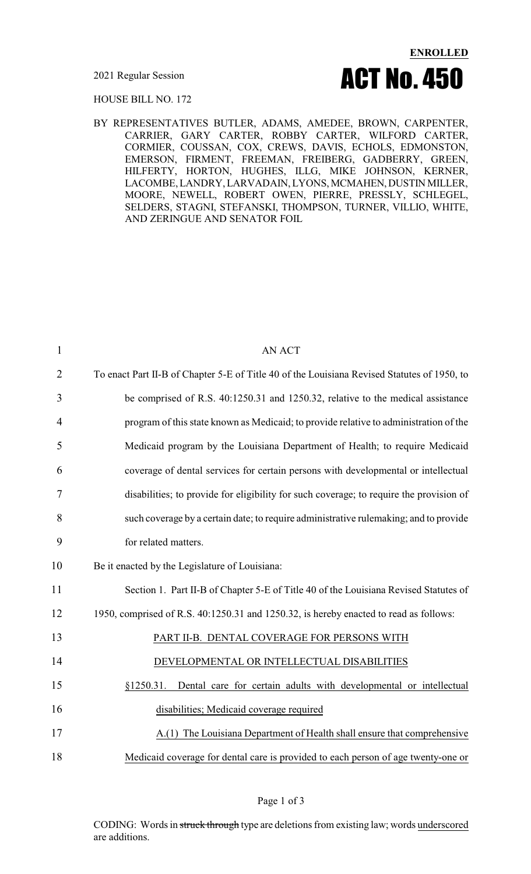

HOUSE BILL NO. 172

BY REPRESENTATIVES BUTLER, ADAMS, AMEDEE, BROWN, CARPENTER, CARRIER, GARY CARTER, ROBBY CARTER, WILFORD CARTER, CORMIER, COUSSAN, COX, CREWS, DAVIS, ECHOLS, EDMONSTON, EMERSON, FIRMENT, FREEMAN, FREIBERG, GADBERRY, GREEN, HILFERTY, HORTON, HUGHES, ILLG, MIKE JOHNSON, KERNER, LACOMBE, LANDRY, LARVADAIN, LYONS, MCMAHEN, DUSTIN MILLER, MOORE, NEWELL, ROBERT OWEN, PIERRE, PRESSLY, SCHLEGEL, SELDERS, STAGNI, STEFANSKI, THOMPSON, TURNER, VILLIO, WHITE, AND ZERINGUE AND SENATOR FOIL

| $\mathbf{1}$   | <b>AN ACT</b>                                                                               |
|----------------|---------------------------------------------------------------------------------------------|
| $\overline{2}$ | To enact Part II-B of Chapter 5-E of Title 40 of the Louisiana Revised Statutes of 1950, to |
| 3              | be comprised of R.S. 40:1250.31 and 1250.32, relative to the medical assistance             |
| 4              | program of this state known as Medicaid; to provide relative to administration of the       |
| 5              | Medicaid program by the Louisiana Department of Health; to require Medicaid                 |
| 6              | coverage of dental services for certain persons with developmental or intellectual          |
| 7              | disabilities; to provide for eligibility for such coverage; to require the provision of     |
| 8              | such coverage by a certain date; to require administrative rulemaking; and to provide       |
| 9              | for related matters.                                                                        |
| 10             | Be it enacted by the Legislature of Louisiana:                                              |
| 11             | Section 1. Part II-B of Chapter 5-E of Title 40 of the Louisiana Revised Statutes of        |
| 12             | 1950, comprised of R.S. 40:1250.31 and 1250.32, is hereby enacted to read as follows:       |
| 13             | PART II-B. DENTAL COVERAGE FOR PERSONS WITH                                                 |
| 14             | DEVELOPMENTAL OR INTELLECTUAL DISABILITIES                                                  |
| 15             | §1250.31. Dental care for certain adults with developmental or intellectual                 |
| 16             | disabilities; Medicaid coverage required                                                    |
| 17             | A.(1) The Louisiana Department of Health shall ensure that comprehensive                    |
| 18             | Medicaid coverage for dental care is provided to each person of age twenty-one or           |
|                |                                                                                             |

Page 1 of 3

CODING: Words in struck through type are deletions from existing law; words underscored are additions.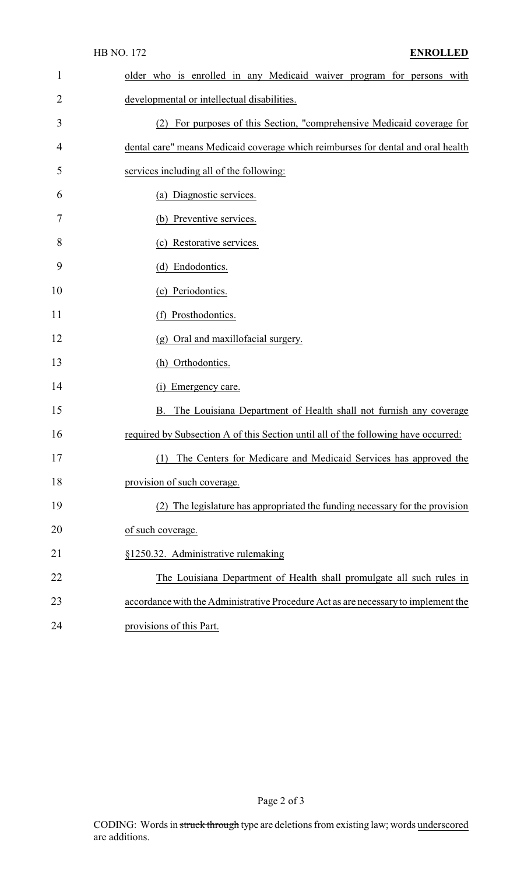| $\mathbf{1}$ | older who is enrolled in any Medicaid waiver program for persons with              |
|--------------|------------------------------------------------------------------------------------|
| 2            | developmental or intellectual disabilities.                                        |
| 3            | For purposes of this Section, "comprehensive Medicaid coverage for<br>(2)          |
| 4            | dental care" means Medicaid coverage which reimburses for dental and oral health   |
| 5            | services including all of the following:                                           |
| 6            | (a) Diagnostic services.                                                           |
| 7            | (b) Preventive services.                                                           |
| 8            | (c) Restorative services.                                                          |
| 9            | (d) Endodontics.                                                                   |
| 10           | (e) Periodontics.                                                                  |
| 11           | (f) Prosthodontics.                                                                |
| 12           | (g) Oral and maxillofacial surgery.                                                |
| 13           | (h) Orthodontics.                                                                  |
| 14           | Emergency care.<br>(1)                                                             |
| 15           | B. The Louisiana Department of Health shall not furnish any coverage               |
| 16           | required by Subsection A of this Section until all of the following have occurred: |
| 17           | (1) The Centers for Medicare and Medicaid Services has approved the                |
| 18           | provision of such coverage.                                                        |
| 19           | (2) The legislature has appropriated the funding necessary for the provision       |
| 20           | of such coverage.                                                                  |
| 21           | §1250.32. Administrative rulemaking                                                |
| 22           | The Louisiana Department of Health shall promulgate all such rules in              |
| 23           | accordance with the Administrative Procedure Act as are necessary to implement the |
| 24           | provisions of this Part.                                                           |